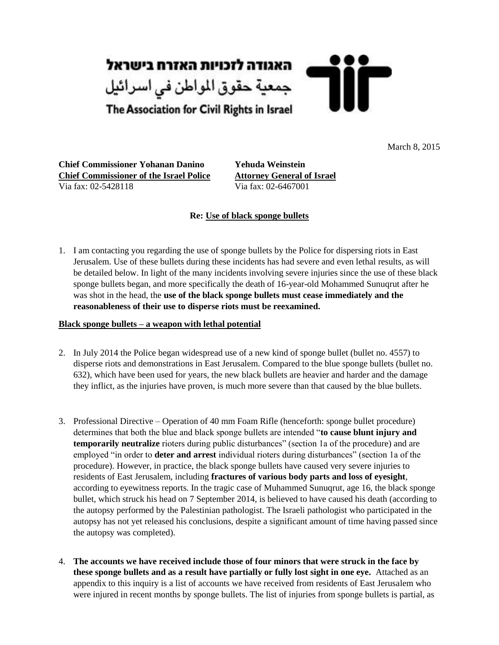

March 8, 2015

**Chief Commissioner Yohanan Danino Yehuda Weinstein Chief Commissioner of the Israel Police Attorney General of Israel** Via fax: 02-5428118 Via fax: 02-6467001

## **Re: Use of black sponge bullets**

1. I am contacting you regarding the use of sponge bullets by the Police for dispersing riots in East Jerusalem. Use of these bullets during these incidents has had severe and even lethal results, as will be detailed below. In light of the many incidents involving severe injuries since the use of these black sponge bullets began, and more specifically the death of 16-year-old Mohammed Sunuqrut after he was shot in the head, the **use of the black sponge bullets must cease immediately and the reasonableness of their use to disperse riots must be reexamined.** 

### **Black sponge bullets – a weapon with lethal potential**

- 2. In July 2014 the Police began widespread use of a new kind of sponge bullet (bullet no. 4557) to disperse riots and demonstrations in East Jerusalem. Compared to the blue sponge bullets (bullet no. 632), which have been used for years, the new black bullets are heavier and harder and the damage they inflict, as the injuries have proven, is much more severe than that caused by the blue bullets.
- 3. Professional Directive Operation of 40 mm Foam Rifle (henceforth: sponge bullet procedure) determines that both the blue and black sponge bullets are intended "**to cause blunt injury and temporarily neutralize** rioters during public disturbances" (section 1a of the procedure) and are employed "in order to **deter and arrest** individual rioters during disturbances" (section 1a of the procedure). However, in practice, the black sponge bullets have caused very severe injuries to residents of East Jerusalem, including **fractures of various body parts and loss of eyesight**, according to eyewitness reports. In the tragic case of Muhammed Sunuqrut, age 16, the black sponge bullet, which struck his head on 7 September 2014, is believed to have caused his death (according to the autopsy performed by the Palestinian pathologist. The Israeli pathologist who participated in the autopsy has not yet released his conclusions, despite a significant amount of time having passed since the autopsy was completed).
- 4. **The accounts we have received include those of four minors that were struck in the face by these sponge bullets and as a result have partially or fully lost sight in one eye.** Attached as an appendix to this inquiry is a list of accounts we have received from residents of East Jerusalem who were injured in recent months by sponge bullets. The list of injuries from sponge bullets is partial, as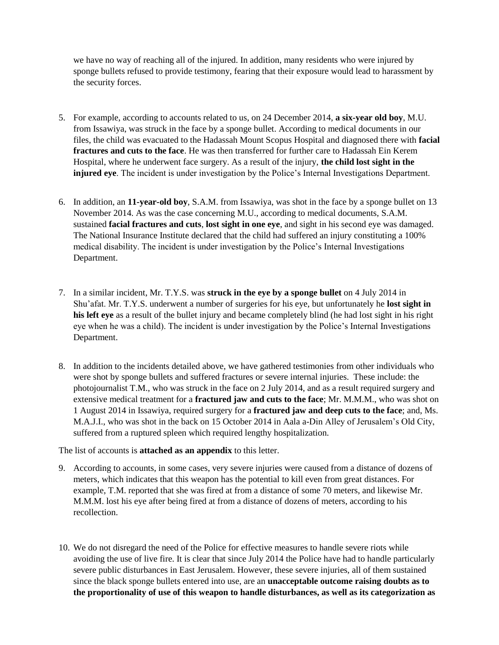we have no way of reaching all of the injured. In addition, many residents who were injured by sponge bullets refused to provide testimony, fearing that their exposure would lead to harassment by the security forces.

- 5. For example, according to accounts related to us, on 24 December 2014, **a six-year old boy**, M.U. from Issawiya, was struck in the face by a sponge bullet. According to medical documents in our files, the child was evacuated to the Hadassah Mount Scopus Hospital and diagnosed there with **facial fractures and cuts to the face**. He was then transferred for further care to Hadassah Ein Kerem Hospital, where he underwent face surgery. As a result of the injury, **the child lost sight in the injured eye**. The incident is under investigation by the Police's Internal Investigations Department.
- 6. In addition, an **11-year-old boy**, S.A.M. from Issawiya, was shot in the face by a sponge bullet on 13 November 2014. As was the case concerning M.U., according to medical documents, S.A.M. sustained **facial fractures and cuts**, **lost sight in one eye**, and sight in his second eye was damaged. The National Insurance Institute declared that the child had suffered an injury constituting a 100% medical disability. The incident is under investigation by the Police's Internal Investigations Department.
- 7. In a similar incident, Mr. T.Y.S. was **struck in the eye by a sponge bullet** on 4 July 2014 in Shu'afat. Mr. T.Y.S. underwent a number of surgeries for his eye, but unfortunately he **lost sight in his left eye** as a result of the bullet injury and became completely blind (he had lost sight in his right eye when he was a child). The incident is under investigation by the Police's Internal Investigations Department.
- 8. In addition to the incidents detailed above, we have gathered testimonies from other individuals who were shot by sponge bullets and suffered fractures or severe internal injuries. These include: the photojournalist T.M., who was struck in the face on 2 July 2014, and as a result required surgery and extensive medical treatment for a **fractured jaw and cuts to the face**; Mr. M.M.M., who was shot on 1 August 2014 in Issawiya, required surgery for a **fractured jaw and deep cuts to the face**; and, Ms. M.A.J.I., who was shot in the back on 15 October 2014 in Aala a-Din Alley of Jerusalem's Old City, suffered from a ruptured spleen which required lengthy hospitalization.

The list of accounts is **attached as an appendix** to this letter.

- 9. According to accounts, in some cases, very severe injuries were caused from a distance of dozens of meters, which indicates that this weapon has the potential to kill even from great distances. For example, T.M. reported that she was fired at from a distance of some 70 meters, and likewise Mr. M.M.M. lost his eye after being fired at from a distance of dozens of meters, according to his recollection.
- 10. We do not disregard the need of the Police for effective measures to handle severe riots while avoiding the use of live fire. It is clear that since July 2014 the Police have had to handle particularly severe public disturbances in East Jerusalem. However, these severe injuries, all of them sustained since the black sponge bullets entered into use, are an **unacceptable outcome raising doubts as to the proportionality of use of this weapon to handle disturbances, as well as its categorization as**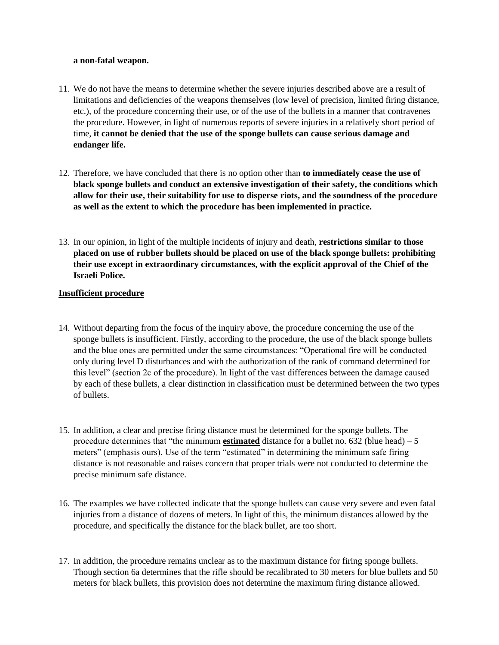#### **a non-fatal weapon.**

- 11. We do not have the means to determine whether the severe injuries described above are a result of limitations and deficiencies of the weapons themselves (low level of precision, limited firing distance, etc.), of the procedure concerning their use, or of the use of the bullets in a manner that contravenes the procedure. However, in light of numerous reports of severe injuries in a relatively short period of time, **it cannot be denied that the use of the sponge bullets can cause serious damage and endanger life.**
- 12. Therefore, we have concluded that there is no option other than **to immediately cease the use of black sponge bullets and conduct an extensive investigation of their safety, the conditions which allow for their use, their suitability for use to disperse riots, and the soundness of the procedure as well as the extent to which the procedure has been implemented in practice.**
- 13. In our opinion, in light of the multiple incidents of injury and death, **restrictions similar to those placed on use of rubber bullets should be placed on use of the black sponge bullets: prohibiting their use except in extraordinary circumstances, with the explicit approval of the Chief of the Israeli Police.**

### **Insufficient procedure**

- 14. Without departing from the focus of the inquiry above, the procedure concerning the use of the sponge bullets is insufficient. Firstly, according to the procedure, the use of the black sponge bullets and the blue ones are permitted under the same circumstances: "Operational fire will be conducted only during level D disturbances and with the authorization of the rank of command determined for this level" (section 2c of the procedure). In light of the vast differences between the damage caused by each of these bullets, a clear distinction in classification must be determined between the two types of bullets.
- 15. In addition, a clear and precise firing distance must be determined for the sponge bullets. The procedure determines that "the minimum **estimated** distance for a bullet no. 632 (blue head) – 5 meters" (emphasis ours). Use of the term "estimated" in determining the minimum safe firing distance is not reasonable and raises concern that proper trials were not conducted to determine the precise minimum safe distance.
- 16. The examples we have collected indicate that the sponge bullets can cause very severe and even fatal injuries from a distance of dozens of meters. In light of this, the minimum distances allowed by the procedure, and specifically the distance for the black bullet, are too short.
- 17. In addition, the procedure remains unclear as to the maximum distance for firing sponge bullets. Though section 6a determines that the rifle should be recalibrated to 30 meters for blue bullets and 50 meters for black bullets, this provision does not determine the maximum firing distance allowed.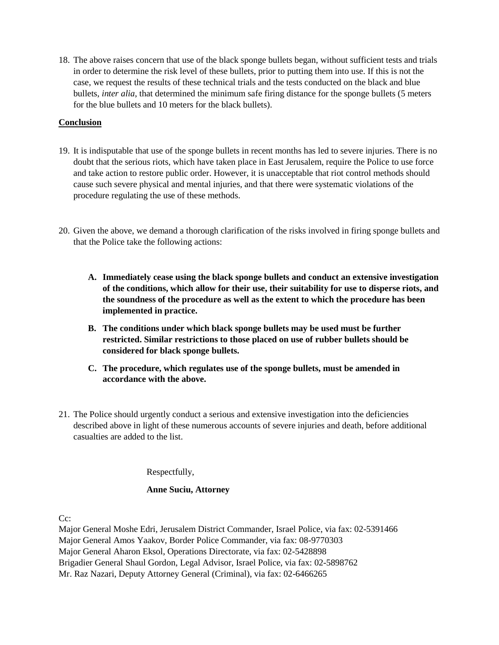18. The above raises concern that use of the black sponge bullets began, without sufficient tests and trials in order to determine the risk level of these bullets, prior to putting them into use. If this is not the case, we request the results of these technical trials and the tests conducted on the black and blue bullets, *inter alia*, that determined the minimum safe firing distance for the sponge bullets (5 meters for the blue bullets and 10 meters for the black bullets).

## **Conclusion**

- 19. It is indisputable that use of the sponge bullets in recent months has led to severe injuries. There is no doubt that the serious riots, which have taken place in East Jerusalem, require the Police to use force and take action to restore public order. However, it is unacceptable that riot control methods should cause such severe physical and mental injuries, and that there were systematic violations of the procedure regulating the use of these methods.
- 20. Given the above, we demand a thorough clarification of the risks involved in firing sponge bullets and that the Police take the following actions:
	- **A. Immediately cease using the black sponge bullets and conduct an extensive investigation of the conditions, which allow for their use, their suitability for use to disperse riots, and the soundness of the procedure as well as the extent to which the procedure has been implemented in practice.**
	- **B. The conditions under which black sponge bullets may be used must be further restricted. Similar restrictions to those placed on use of rubber bullets should be considered for black sponge bullets.**
	- **C. The procedure, which regulates use of the sponge bullets, must be amended in accordance with the above.**
- 21. The Police should urgently conduct a serious and extensive investigation into the deficiencies described above in light of these numerous accounts of severe injuries and death, before additional casualties are added to the list.

Respectfully,

### **Anne Suciu, Attorney**

Cc:

Major General Moshe Edri, Jerusalem District Commander, Israel Police, via fax: 02-5391466 Major General Amos Yaakov, Border Police Commander, via fax: 08-9770303 Major General Aharon Eksol, Operations Directorate, via fax: 02-5428898 Brigadier General Shaul Gordon, Legal Advisor, Israel Police, via fax: 02-5898762 Mr. Raz Nazari, Deputy Attorney General (Criminal), via fax: 02-6466265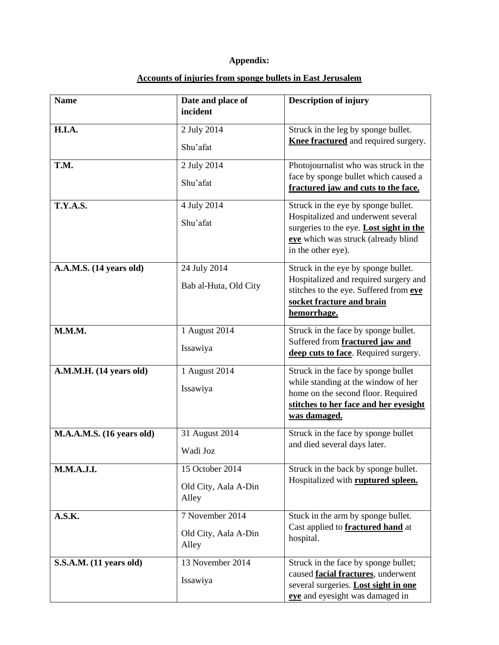# **Appendix:**

| <b>Name</b>               | Date and place of<br>incident                    | <b>Description of injury</b>                                                                                                                                                      |
|---------------------------|--------------------------------------------------|-----------------------------------------------------------------------------------------------------------------------------------------------------------------------------------|
| H.I.A.                    | 2 July 2014<br>Shu'afat                          | Struck in the leg by sponge bullet.<br>Knee fractured and required surgery.                                                                                                       |
| T.M.                      | 2 July 2014<br>Shu'afat                          | Photojournalist who was struck in the<br>face by sponge bullet which caused a<br>fractured jaw and cuts to the face.                                                              |
| <b>T.Y.A.S.</b>           | 4 July 2014<br>Shu'afat                          | Struck in the eye by sponge bullet.<br>Hospitalized and underwent several<br>surgeries to the eye. Lost sight in the<br>eye which was struck (already blind<br>in the other eye). |
| A.A.M.S. (14 years old)   | 24 July 2014<br>Bab al-Huta, Old City            | Struck in the eye by sponge bullet.<br>Hospitalized and required surgery and<br>stitches to the eye. Suffered from eye<br>socket fracture and brain<br>hemorrhage.                |
| M.M.M.                    | 1 August 2014<br>Issawiya                        | Struck in the face by sponge bullet.<br>Suffered from fractured jaw and<br>deep cuts to face. Required surgery.                                                                   |
| A.M.M.H. (14 years old)   | 1 August 2014<br>Issawiya                        | Struck in the face by sponge bullet<br>while standing at the window of her<br>home on the second floor. Required<br>stitches to her face and her eyesight<br>was damaged.         |
| M.A.A.M.S. (16 years old) | 31 August 2014<br>Wadi Joz                       | Struck in the face by sponge bullet<br>and died several days later.                                                                                                               |
| <b>M.M.A.J.I.</b>         | 15 October 2014<br>Old City, Aala A-Din<br>Alley | Struck in the back by sponge bullet.<br>Hospitalized with <b>ruptured spleen.</b>                                                                                                 |
| A.S.K.                    | 7 November 2014<br>Old City, Aala A-Din<br>Alley | Stuck in the arm by sponge bullet.<br>Cast applied to <b>fractured hand</b> at<br>hospital.                                                                                       |
| S.S.A.M. (11 years old)   | 13 November 2014<br>Issawiya                     | Struck in the face by sponge bullet;<br>caused <b>facial fractures</b> , underwent<br>several surgeries. Lost sight in one<br>eye and eyesight was damaged in                     |